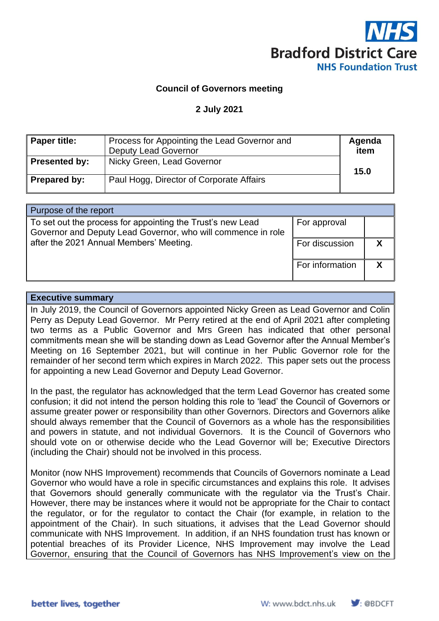

#### **Council of Governors meeting**

#### **2 July 2021**

| Paper title:  | Process for Appointing the Lead Governor and<br><b>Deputy Lead Governor</b> | Agenda<br>item |
|---------------|-----------------------------------------------------------------------------|----------------|
| Presented by: | Nicky Green, Lead Governor                                                  | 15.0           |
| Prepared by:  | Paul Hogg, Director of Corporate Affairs                                    |                |

| Purpose of the report                                                                                                      |                 |  |
|----------------------------------------------------------------------------------------------------------------------------|-----------------|--|
| To set out the process for appointing the Trust's new Lead<br>Governor and Deputy Lead Governor, who will commence in role | For approval    |  |
| after the 2021 Annual Members' Meeting.                                                                                    | For discussion  |  |
|                                                                                                                            | For information |  |

#### **Executive summary**

In July 2019, the Council of Governors appointed Nicky Green as Lead Governor and Colin Perry as Deputy Lead Governor. Mr Perry retired at the end of April 2021 after completing two terms as a Public Governor and Mrs Green has indicated that other personal commitments mean she will be standing down as Lead Governor after the Annual Member's Meeting on 16 September 2021, but will continue in her Public Governor role for the remainder of her second term which expires in March 2022. This paper sets out the process for appointing a new Lead Governor and Deputy Lead Governor.

In the past, the regulator has acknowledged that the term Lead Governor has created some confusion; it did not intend the person holding this role to 'lead' the Council of Governors or assume greater power or responsibility than other Governors. Directors and Governors alike should always remember that the Council of Governors as a whole has the responsibilities and powers in statute, and not individual Governors. It is the Council of Governors who should vote on or otherwise decide who the Lead Governor will be; Executive Directors (including the Chair) should not be involved in this process.

Monitor (now NHS Improvement) recommends that Councils of Governors nominate a Lead Governor who would have a role in specific circumstances and explains this role. It advises that Governors should generally communicate with the regulator via the Trust's Chair. However, there may be instances where it would not be appropriate for the Chair to contact the regulator, or for the regulator to contact the Chair (for example, in relation to the appointment of the Chair). In such situations, it advises that the Lead Governor should communicate with NHS Improvement. In addition, if an NHS foundation trust has known or potential breaches of its Provider Licence, NHS Improvement may involve the Lead Governor, ensuring that the Council of Governors has NHS Improvement's view on the

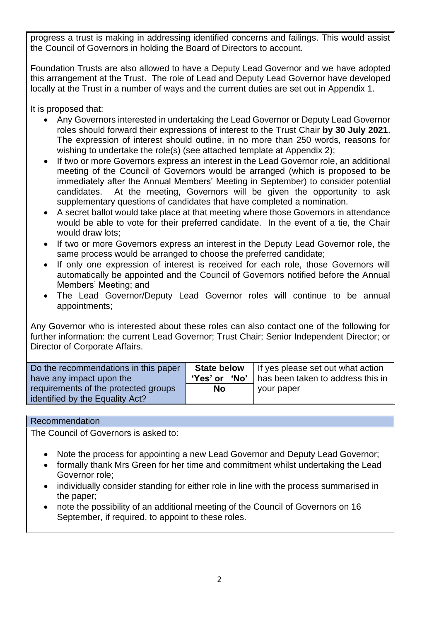progress a trust is making in addressing identified concerns and failings. This would assist the Council of Governors in holding the Board of Directors to account.

Foundation Trusts are also allowed to have a Deputy Lead Governor and we have adopted this arrangement at the Trust. The role of Lead and Deputy Lead Governor have developed locally at the Trust in a number of ways and the current duties are set out in Appendix 1.

It is proposed that:

- Any Governors interested in undertaking the Lead Governor or Deputy Lead Governor roles should forward their expressions of interest to the Trust Chair **by 30 July 2021**. The expression of interest should outline, in no more than 250 words, reasons for wishing to undertake the role(s) (see attached template at Appendix 2);
- If two or more Governors express an interest in the Lead Governor role, an additional meeting of the Council of Governors would be arranged (which is proposed to be immediately after the Annual Members' Meeting in September) to consider potential candidates. At the meeting, Governors will be given the opportunity to ask supplementary questions of candidates that have completed a nomination.
- A secret ballot would take place at that meeting where those Governors in attendance would be able to vote for their preferred candidate. In the event of a tie, the Chair would draw lots;
- If two or more Governors express an interest in the Deputy Lead Governor role, the same process would be arranged to choose the preferred candidate;
- If only one expression of interest is received for each role, those Governors will automatically be appointed and the Council of Governors notified before the Annual Members' Meeting; and
- The Lead Governor/Deputy Lead Governor roles will continue to be annual appointments;

Any Governor who is interested about these roles can also contact one of the following for further information: the current Lead Governor; Trust Chair; Senior Independent Director; or Director of Corporate Affairs.

| Do the recommendations in this paper                                    | <b>State below</b> | If yes please set out what action |
|-------------------------------------------------------------------------|--------------------|-----------------------------------|
| have any impact upon the                                                | 'Yes' or 'No'      | has been taken to address this in |
| requirements of the protected groups<br>identified by the Equality Act? | <b>No</b>          | your paper                        |

## Recommendation

The Council of Governors is asked to:

- Note the process for appointing a new Lead Governor and Deputy Lead Governor;
- formally thank Mrs Green for her time and commitment whilst undertaking the Lead Governor role;
- individually consider standing for either role in line with the process summarised in the paper;
- note the possibility of an additional meeting of the Council of Governors on 16 September, if required, to appoint to these roles.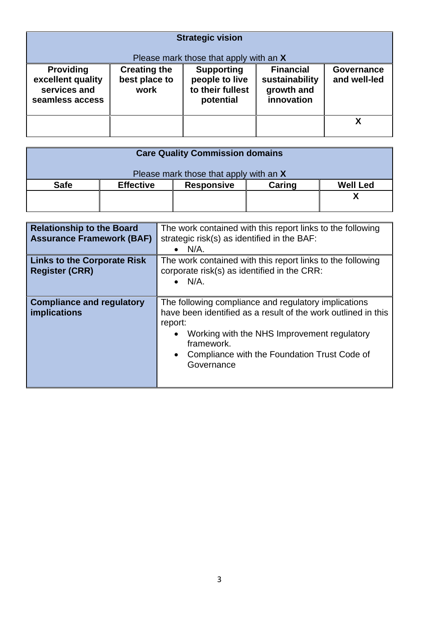| <b>Strategic vision</b>               |                                      |                                                                               |                                    |                            |
|---------------------------------------|--------------------------------------|-------------------------------------------------------------------------------|------------------------------------|----------------------------|
| <b>Providing</b><br>excellent quality | <b>Creating the</b><br>best place to | Please mark those that apply with an X<br><b>Supporting</b><br>people to live | <b>Financial</b><br>sustainability | Governance<br>and well-led |
| services and<br>seamless access       | work                                 | to their fullest<br>potential                                                 | growth and<br>innovation           |                            |
|                                       |                                      |                                                                               |                                    |                            |

| <b>Care Quality Commission domains</b> |                  |                   |        |                 |
|----------------------------------------|------------------|-------------------|--------|-----------------|
| Please mark those that apply with an X |                  |                   |        |                 |
| <b>Safe</b>                            | <b>Effective</b> | <b>Responsive</b> | Caring | <b>Well Led</b> |
|                                        |                  |                   |        |                 |
|                                        |                  |                   |        |                 |

| <b>Relationship to the Board</b><br><b>Assurance Framework (BAF)</b> | The work contained with this report links to the following<br>strategic risk(s) as identified in the BAF:<br>$N/A$ .<br>$\bullet$                                                                                                                                        |
|----------------------------------------------------------------------|--------------------------------------------------------------------------------------------------------------------------------------------------------------------------------------------------------------------------------------------------------------------------|
| <b>Links to the Corporate Risk</b><br><b>Register (CRR)</b>          | The work contained with this report links to the following<br>corporate risk(s) as identified in the CRR:<br>$N/A$ .<br>$\bullet$                                                                                                                                        |
| <b>Compliance and regulatory</b><br><b>implications</b>              | The following compliance and regulatory implications<br>have been identified as a result of the work outlined in this<br>report:<br>Working with the NHS Improvement regulatory<br>framework.<br>Compliance with the Foundation Trust Code of<br>$\bullet$<br>Governance |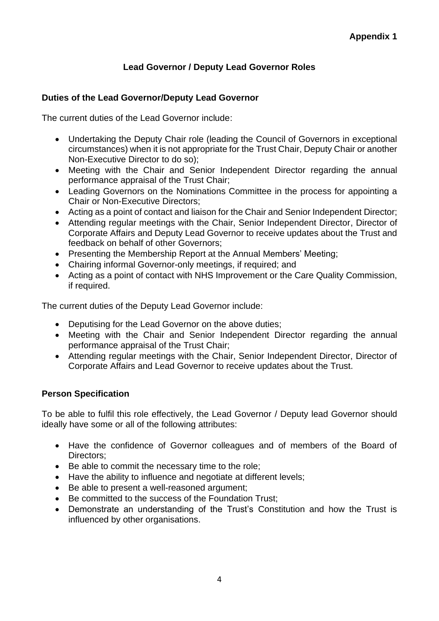# **Lead Governor / Deputy Lead Governor Roles**

## **Duties of the Lead Governor/Deputy Lead Governor**

The current duties of the Lead Governor include:

- Undertaking the Deputy Chair role (leading the Council of Governors in exceptional circumstances) when it is not appropriate for the Trust Chair, Deputy Chair or another Non-Executive Director to do so);
- Meeting with the Chair and Senior Independent Director regarding the annual performance appraisal of the Trust Chair;
- Leading Governors on the Nominations Committee in the process for appointing a Chair or Non-Executive Directors;
- Acting as a point of contact and liaison for the Chair and Senior Independent Director;
- Attending regular meetings with the Chair, Senior Independent Director, Director of Corporate Affairs and Deputy Lead Governor to receive updates about the Trust and feedback on behalf of other Governors;
- Presenting the Membership Report at the Annual Members' Meeting;
- Chairing informal Governor-only meetings, if required; and
- Acting as a point of contact with NHS Improvement or the Care Quality Commission, if required.

The current duties of the Deputy Lead Governor include:

- Deputising for the Lead Governor on the above duties;
- Meeting with the Chair and Senior Independent Director regarding the annual performance appraisal of the Trust Chair;
- Attending regular meetings with the Chair, Senior Independent Director, Director of Corporate Affairs and Lead Governor to receive updates about the Trust.

#### **Person Specification**

To be able to fulfil this role effectively, the Lead Governor / Deputy lead Governor should ideally have some or all of the following attributes:

- Have the confidence of Governor colleagues and of members of the Board of Directors;
- Be able to commit the necessary time to the role;
- Have the ability to influence and negotiate at different levels;
- Be able to present a well-reasoned argument;
- Be committed to the success of the Foundation Trust;
- Demonstrate an understanding of the Trust's Constitution and how the Trust is influenced by other organisations.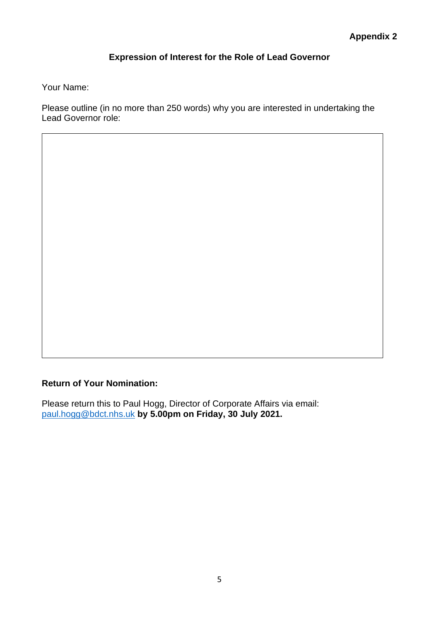# **Expression of Interest for the Role of Lead Governor**

Your Name:

Please outline (in no more than 250 words) why you are interested in undertaking the Lead Governor role:

**Return of Your Nomination:**

Please return this to Paul Hogg, Director of Corporate Affairs via email: [paul.hogg@bdct.nhs.uk](mailto:paul.hogg@bdct.nhs.uk) **by 5.00pm on Friday, 30 July 2021.**